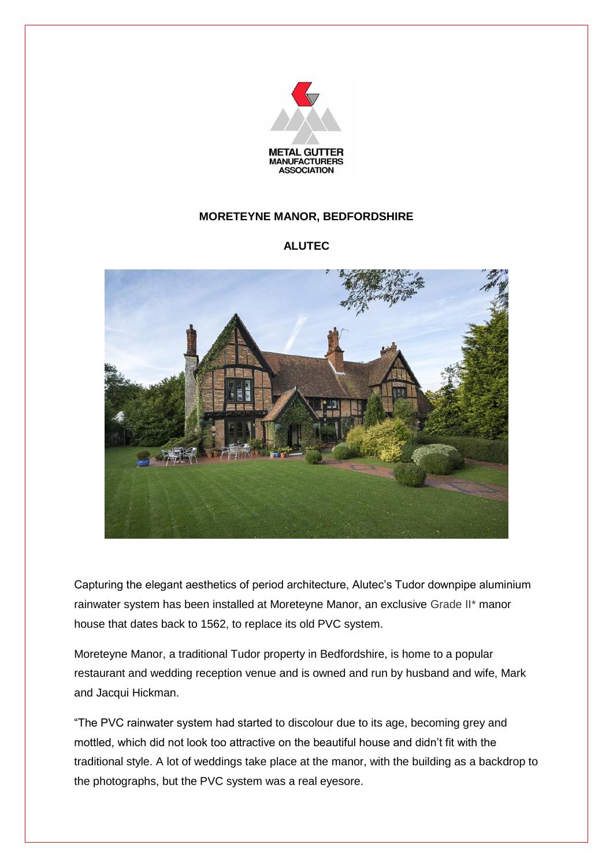

## **MORETEYNE MANOR, BEDFORDSHIRE**

## **ALUTEC**



Capturing the elegant aesthetics of period architecture, Alutec's Tudor downpipe aluminium rainwater system has been installed at Moreteyne Manor, an exclusive Grade II\* manor house that dates back to 1562, to replace its old PVC system.

Moreteyne Manor, a traditional Tudor property in Bedfordshire, is home to a popular restaurant and wedding reception venue and is owned and run by husband and wife, Mark and Jacqui Hickman.

"The PVC rainwater system had started to discolour due to its age, becoming grey and mottled, which did not look too attractive on the beautiful house and didn't fit with the traditional style. A lot of weddings take place at the manor, with the building as a backdrop to the photographs, but the PVC system was a real eyesore.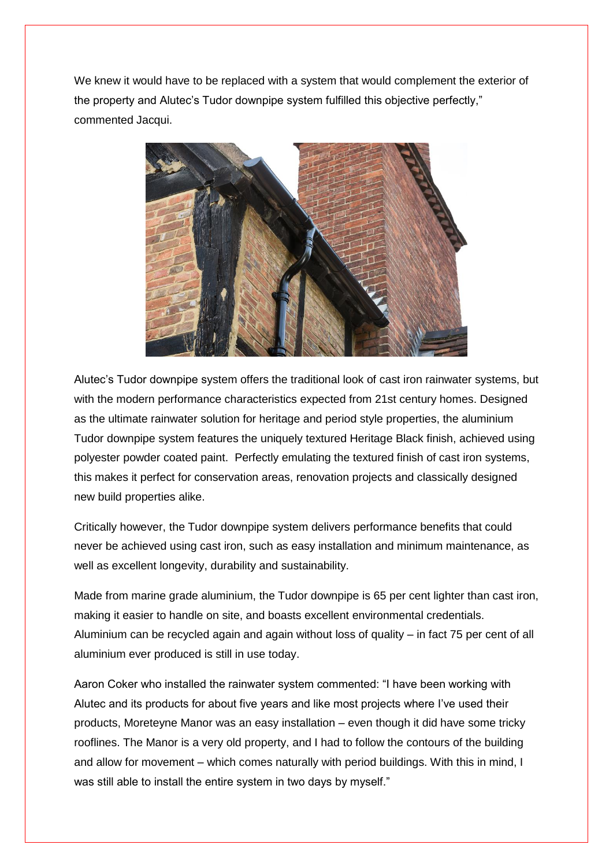We knew it would have to be replaced with a system that would complement the exterior of the property and Alutec's Tudor downpipe system fulfilled this objective perfectly," commented Jacqui.



Alutec's Tudor downpipe system offers the traditional look of cast iron rainwater systems, but with the modern performance characteristics expected from 21st century homes. Designed as the ultimate rainwater solution for heritage and period style properties, the aluminium Tudor downpipe system features the uniquely textured Heritage Black finish, achieved using polyester powder coated paint. Perfectly emulating the textured finish of cast iron systems, this makes it perfect for conservation areas, renovation projects and classically designed new build properties alike.

Critically however, the Tudor downpipe system delivers performance benefits that could never be achieved using cast iron, such as easy installation and minimum maintenance, as well as excellent longevity, durability and sustainability.

Made from marine grade aluminium, the Tudor downpipe is 65 per cent lighter than cast iron, making it easier to handle on site, and boasts excellent environmental credentials. Aluminium can be recycled again and again without loss of quality – in fact 75 per cent of all aluminium ever produced is still in use today.

Aaron Coker who installed the rainwater system commented: "I have been working with Alutec and its products for about five years and like most projects where I've used their products, Moreteyne Manor was an easy installation – even though it did have some tricky rooflines. The Manor is a very old property, and I had to follow the contours of the building and allow for movement – which comes naturally with period buildings. With this in mind, I was still able to install the entire system in two days by myself."